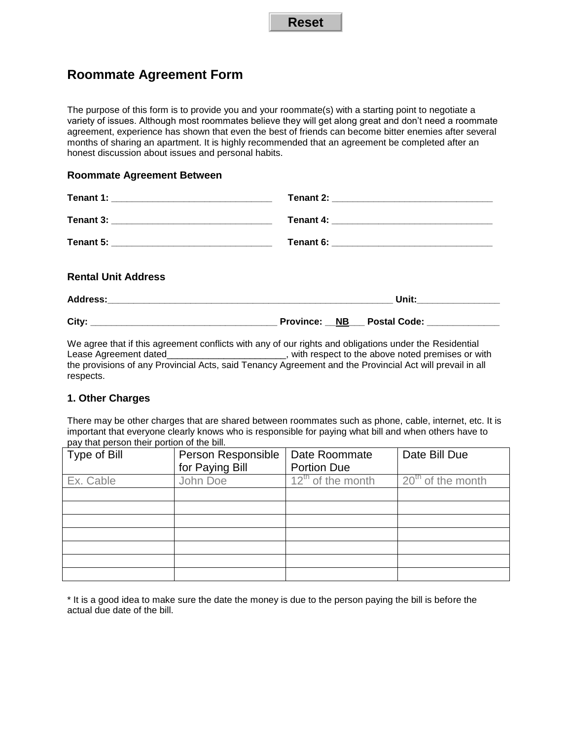# **Roommate Agreement Form**

The purpose of this form is to provide you and your roommate(s) with a starting point to negotiate a variety of issues. Although most roommates believe they will get along great and don't need a roommate agreement, experience has shown that even the best of friends can become bitter enemies after several months of sharing an apartment. It is highly recommended that an agreement be completed after an honest discussion about issues and personal habits.

### **Roommate Agreement Between**

| <b>Rental Unit Address</b> |                         |
|----------------------------|-------------------------|
|                            | Unit: _________________ |

| City: | Province: | <b>NB</b> | <b>Postal Code:</b> |  |
|-------|-----------|-----------|---------------------|--|
|       |           |           |                     |  |

We agree that if this agreement conflicts with any of our rights and obligations under the Residential Lease Agreement dated\_\_\_\_\_\_\_\_\_\_\_\_\_\_\_\_\_\_\_\_\_\_, with respect to the above noted premises or with the provisions of any Provincial Acts, said Tenancy Agreement and the Provincial Act will prevail in all respects.

# **1. Other Charges**

There may be other charges that are shared between roommates such as phone, cable, internet, etc. It is important that everyone clearly knows who is responsible for paying what bill and when others have to pay that person their portion of the bill.

| Type of Bill | Person Responsible | Date Roommate          | Date Bill Due       |
|--------------|--------------------|------------------------|---------------------|
|              | for Paying Bill    | <b>Portion Due</b>     |                     |
| Ex. Cable    | John Doe           | $12^{th}$ of the month | $20th$ of the month |
|              |                    |                        |                     |
|              |                    |                        |                     |
|              |                    |                        |                     |
|              |                    |                        |                     |
|              |                    |                        |                     |
|              |                    |                        |                     |
|              |                    |                        |                     |

\* It is a good idea to make sure the date the money is due to the person paying the bill is before the actual due date of the bill.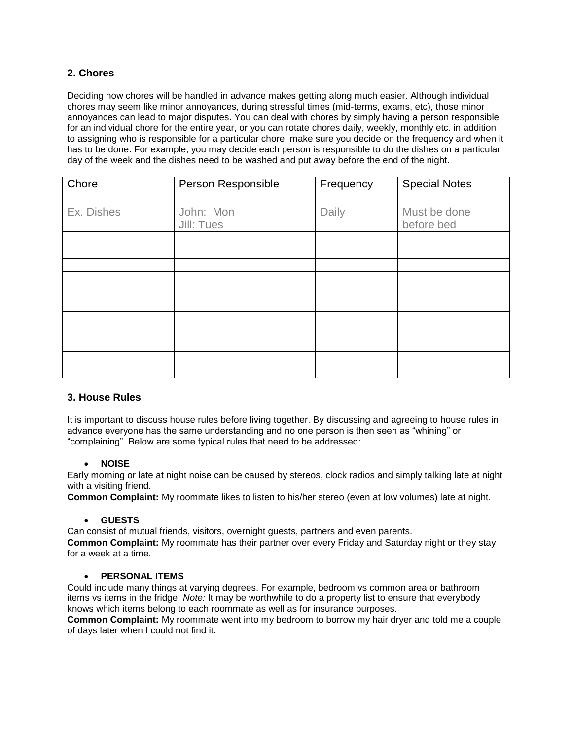# **2. Chores**

Deciding how chores will be handled in advance makes getting along much easier. Although individual chores may seem like minor annoyances, during stressful times (mid-terms, exams, etc), those minor annoyances can lead to major disputes. You can deal with chores by simply having a person responsible for an individual chore for the entire year, or you can rotate chores daily, weekly, monthly etc. in addition to assigning who is responsible for a particular chore, make sure you decide on the frequency and when it has to be done. For example, you may decide each person is responsible to do the dishes on a particular day of the week and the dishes need to be washed and put away before the end of the night.

| Chore      | Person Responsible      | Frequency | <b>Special Notes</b>       |
|------------|-------------------------|-----------|----------------------------|
| Ex. Dishes | John: Mon<br>Jill: Tues | Daily     | Must be done<br>before bed |
|            |                         |           |                            |
|            |                         |           |                            |
|            |                         |           |                            |
|            |                         |           |                            |
|            |                         |           |                            |

# **3. House Rules**

It is important to discuss house rules before living together. By discussing and agreeing to house rules in advance everyone has the same understanding and no one person is then seen as "whining" or "complaining". Below are some typical rules that need to be addressed:

# **NOISE**

Early morning or late at night noise can be caused by stereos, clock radios and simply talking late at night with a visiting friend.

**Common Complaint:** My roommate likes to listen to his/her stereo (even at low volumes) late at night.

#### **GUESTS**

Can consist of mutual friends, visitors, overnight guests, partners and even parents.

**Common Complaint:** My roommate has their partner over every Friday and Saturday night or they stay for a week at a time.

# **PERSONAL ITEMS**

Could include many things at varying degrees. For example, bedroom vs common area or bathroom items vs items in the fridge. *Note:* It may be worthwhile to do a property list to ensure that everybody knows which items belong to each roommate as well as for insurance purposes.

**Common Complaint:** My roommate went into my bedroom to borrow my hair dryer and told me a couple of days later when I could not find it.